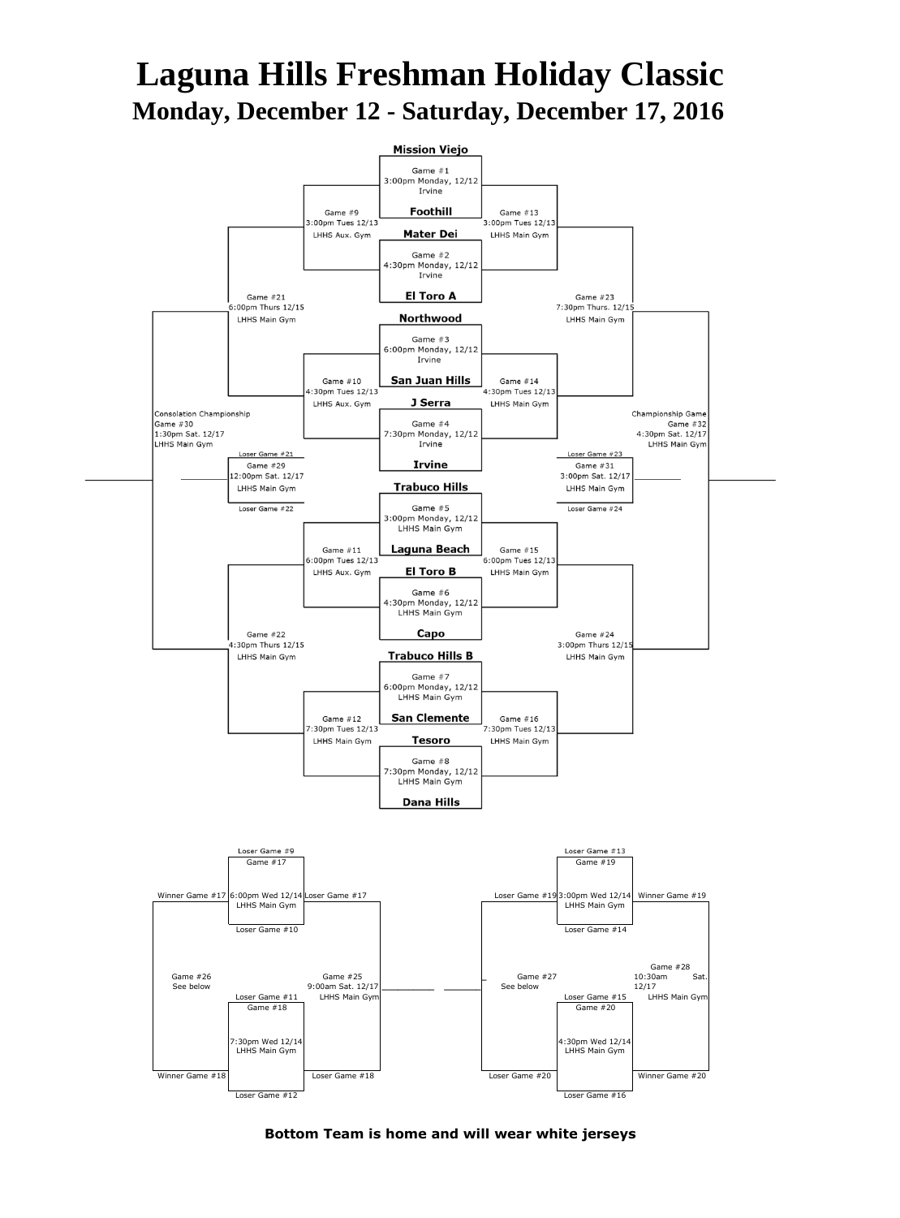## **Laguna Hills Freshman Holiday Classic Monday, December 12 - Saturday, December 17, 2016**



**Bottom Team is home and will wear white jerseys**